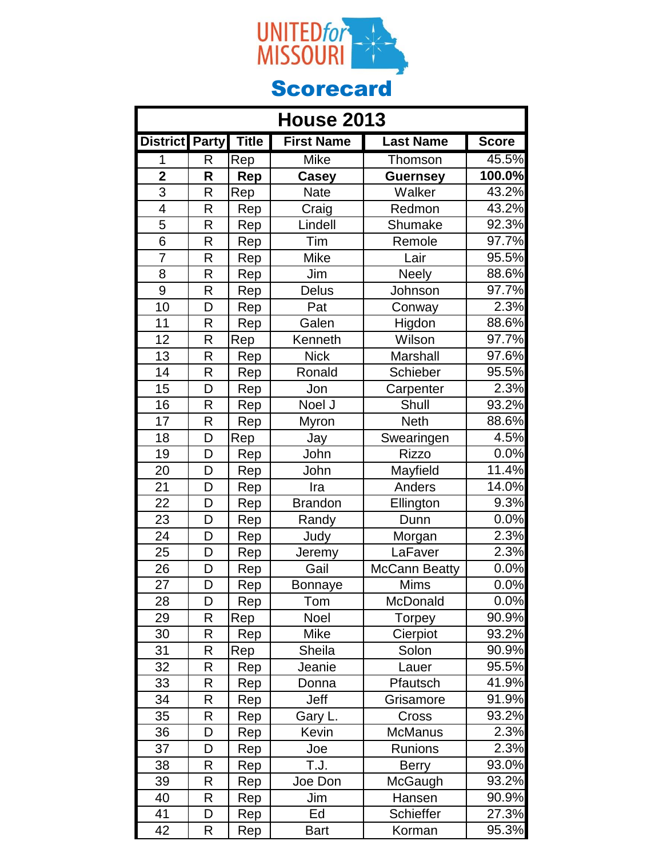

| <b>House 2013</b>       |              |              |                   |                      |              |
|-------------------------|--------------|--------------|-------------------|----------------------|--------------|
| District Party          |              | <b>Title</b> | <b>First Name</b> | <b>Last Name</b>     | <b>Score</b> |
| 1                       | R            | Rep          | <b>Mike</b>       | Thomson              | 45.5%        |
| $\overline{\mathbf{2}}$ | R            | Rep          | <b>Casey</b>      | <b>Guernsey</b>      | 100.0%       |
| $\overline{3}$          | $\mathsf{R}$ | Rep          | <b>Nate</b>       | Walker               | 43.2%        |
| $\overline{4}$          | R            | Rep          | Craig             | Redmon               | 43.2%        |
| 5                       | R            | Rep          | Lindell           | Shumake              | $92.3\%$     |
| 6                       | R            | Rep          | Tim               | Remole               | 97.7%        |
| 7                       | R            | Rep          | <b>Mike</b>       | Lair                 | 95.5%        |
| 8                       | R            | Rep          | Jim               | <b>Neely</b>         | 88.6%        |
| 9                       | R            | Rep          | <b>Delus</b>      | Johnson              | 97.7%        |
| 10                      | D            | Rep          | Pat               | Conway               | 2.3%         |
| 11                      | R            | Rep          | Galen             | Higdon               | 88.6%        |
| 12                      | R            | Rep          | Kenneth           | Wilson               | 97.7%        |
| 13                      | R            | Rep          | <b>Nick</b>       | Marshall             | $97.6\%$     |
| 14                      | R            | Rep          | Ronald            | Schieber             | 95.5%        |
| $\overline{15}$         | D            | Rep          | Jon               | Carpenter            | 2.3%         |
| $\overline{16}$         | $\mathsf{R}$ | Rep          | Noel J            | Shull                | 93.2%        |
| 17                      | R            | Rep          | Myron             | <b>Neth</b>          | 88.6%        |
| 18                      | D            | Rep          | Jay               | Swearingen           | 4.5%         |
| 19                      | D            | Rep          | John              | <b>Rizzo</b>         | $0.0\%$      |
| 20                      | D            | Rep          | John              | Mayfield             | 11.4%        |
| 21                      | D            | Rep          | Ira               | Anders               | 14.0%        |
| 22                      | D            | Rep          | <b>Brandon</b>    | Ellington            | 9.3%         |
| 23                      | D            | Rep          | Randy             | Dunn                 | 0.0%         |
| 24                      | D            | Rep          | Judy              | Morgan               | 2.3%         |
| 25                      | D            | Rep          | Jeremy            | LaFaver              | 2.3%         |
| 26                      | D            | Rep          | Gail              | <b>McCann Beatty</b> | 0.0%         |
| $\overline{27}$         | D            | <u>Rep</u>   | Bonnaye           | <b>Mims</b>          | 0.0%         |
| 28                      | D            | Rep          | Tom               | McDonald             | 0.0%         |
| 29                      | R            | Rep          | Noel              | <b>Torpey</b>        | 90.9%        |
| 30                      | R            | Rep          | Mike              | Cierpiot             | 93.2%        |
| 31                      | R            | Rep          | Sheila            | Solon                | 90.9%        |
| 32                      | R            | Rep          | Jeanie            | Lauer                | 95.5%        |
| 33                      | R            | Rep          | Donna             | Pfautsch             | 41.9%        |
| 34                      | R            | Rep          | Jeff              | Grisamore            | 91.9%        |
| 35                      | R            | Rep          | Gary L.           | Cross                | 93.2%        |
| 36                      | D            | Rep          | Kevin             | <b>McManus</b>       | 2.3%         |
| 37                      | D            | Rep          | Joe               | Runions              | 2.3%         |
| 38                      | R            | Rep          | T.J.              | <b>Berry</b>         | 93.0%        |
| 39                      | R            | Rep          | Joe Don           | McGaugh              | 93.2%        |
| 40                      | R            | Rep          | Jim               | Hansen               | 90.9%        |
| 41                      | D            | Rep          | Ed                | Schieffer            | 27.3%        |
| 42                      | R            | Rep          | <b>Bart</b>       | Korman               | 95.3%        |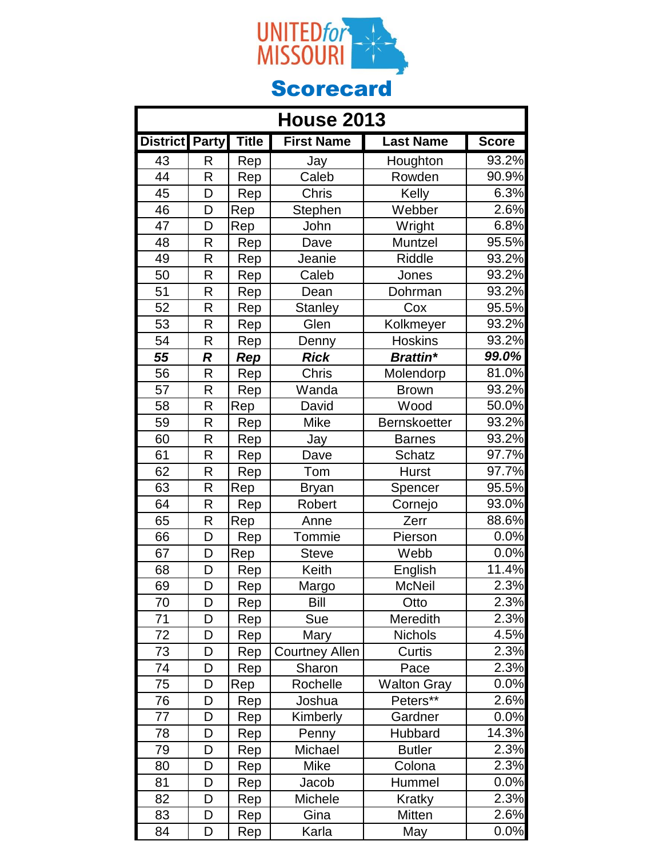

| <b>House 2013</b>     |                  |              |                       |                    |              |
|-----------------------|------------------|--------------|-----------------------|--------------------|--------------|
| <b>District Party</b> |                  | <b>Title</b> | <b>First Name</b>     | <b>Last Name</b>   | <b>Score</b> |
| 43                    | R                | Rep          | Jay                   | Houghton           | 93.2%        |
| 44                    | R                | Rep          | Caleb                 | Rowden             | 90.9%        |
| 45                    | D                | Rep          | <b>Chris</b>          | Kelly              | 6.3%         |
| 46                    | D                | Rep          | Stephen               | Webber             | 2.6%         |
| 47                    | D                | Rep          | John                  | Wright             | 6.8%         |
| 48                    | $\mathsf{R}$     | Rep          | Dave                  | Muntzel            | 95.5%        |
| 49                    | R                | Rep          | Jeanie                | <b>Riddle</b>      | 93.2%        |
| 50                    | R                | Rep          | Caleb                 | Jones              | 93.2%        |
| 51                    | R                | Rep          | Dean                  | Dohrman            | 93.2%        |
| 52                    | R                | Rep          | <b>Stanley</b>        | Cox                | 95.5%        |
| 53                    | R                | Rep          | Glen                  | Kolkmeyer          | 93.2%        |
| 54                    | R                | Rep          | Denny                 | Hoskins            | 93.2%        |
| 55                    | $\boldsymbol{R}$ | Rep          | <b>Rick</b>           | <b>Brattin*</b>    | 99.0%        |
| 56                    | $\mathsf{R}$     | Rep          | Chris                 | Molendorp          | 81.0%        |
| 57                    | R                | Rep          | Wanda                 | <b>Brown</b>       | 93.2%        |
| 58                    | R                | Rep          | David                 | Wood               | 50.0%        |
| 59                    | R                | Rep          | <b>Mike</b>           | Bernskoetter       | 93.2%        |
| 60                    | R                | Rep          | Jay                   | <b>Barnes</b>      | 93.2%        |
| 61                    | R                | Rep          | Dave                  | <b>Schatz</b>      | 97.7%        |
| 62                    | R                | Rep          | Tom                   | <b>Hurst</b>       | 97.7%        |
| 63                    | R                | Rep          | <b>Bryan</b>          | Spencer            | 95.5%        |
| 64                    | R                | Rep          | Robert                | Cornejo            | 93.0%        |
| 65                    | R                | Rep          | Anne                  | Zerr               | 88.6%        |
| 66                    | D                | Rep          | Tommie                | Pierson            | 0.0%         |
| 67                    | D                | Rep          | <b>Steve</b>          | Webb               | 0.0%         |
| 68                    | D                | Rep          | Keith                 | English            | 11.4%        |
| 69                    | D                | Rep          | Margo                 | <b>McNeil</b>      | 2.3%         |
| 70                    | D                | Rep          | Bill                  | Otto               | 2.3%         |
| 71                    | D                | <b>Rep</b>   | Sue                   | Meredith           | 2.3%         |
| 72                    | D                | Rep          | Mary                  | <b>Nichols</b>     | 4.5%         |
| 73                    | D                | Rep          | <b>Courtney Allen</b> | Curtis             | 2.3%         |
| 74                    | D                | Rep          | Sharon                | Pace               | 2.3%         |
| 75                    | D                | Rep          | Rochelle              | <b>Walton Gray</b> | 0.0%         |
| 76                    | D                | Rep          | Joshua                | Peters**           | 2.6%         |
| 77                    | D                | Rep          | Kimberly              | Gardner            | 0.0%         |
| 78                    | D                | Rep          | Penny                 | Hubbard            | 14.3%        |
| 79                    | D                | Rep          | Michael               | <b>Butler</b>      | 2.3%         |
| 80                    | D                | Rep          | Mike                  | Colona             | 2.3%         |
| 81                    | D                | Rep          | Jacob                 | Hummel             | 0.0%         |
| 82                    | D                | Rep          | Michele               | Kratky             | 2.3%         |
| 83                    | D                | Rep          | Gina                  | Mitten             | $2.6\%$      |
| 84                    | D                | Rep          | Karla                 | May                | 0.0%         |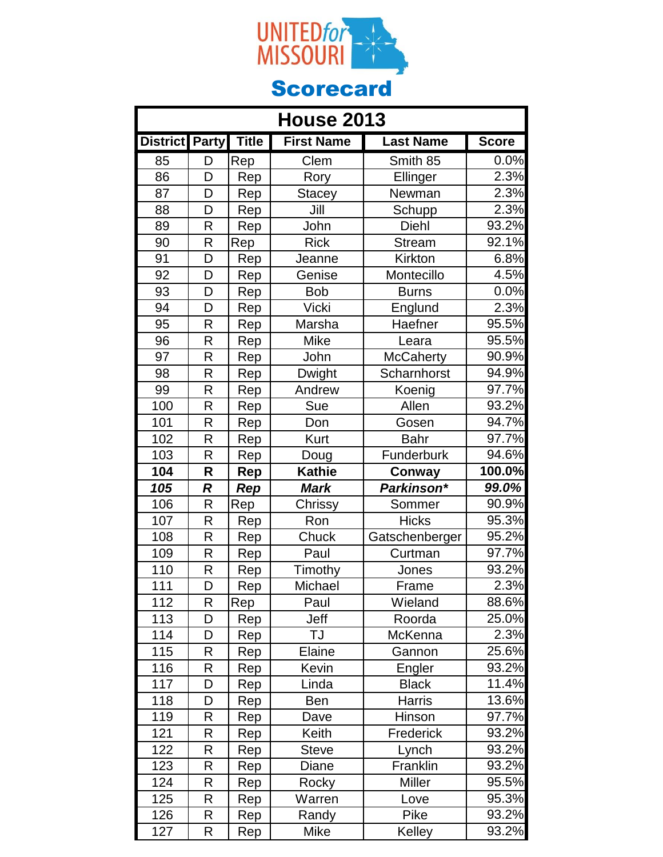

| <b>House 2013</b> |                  |              |                   |                  |              |
|-------------------|------------------|--------------|-------------------|------------------|--------------|
| <b>District</b>   | <b>Party</b>     | <b>Title</b> | <b>First Name</b> | <b>Last Name</b> | <b>Score</b> |
| 85                | D                | Rep          | Clem              | Smith 85         | 0.0%         |
| 86                | D                | Rep          | Rory              | Ellinger         | 2.3%         |
| 87                | D                | Rep          | <b>Stacey</b>     | Newman           | 2.3%         |
| 88                | D                | Rep          | Jill              | Schupp           | 2.3%         |
| 89                | R                | Rep          | John              | Diehl            | 93.2%        |
| 90                | R                | Rep          | <b>Rick</b>       | <b>Stream</b>    | 92.1%        |
| 91                | D                | Rep          | Jeanne            | Kirkton          | 6.8%         |
| 92                | D                | Rep          | Genise            | Montecillo       | 4.5%         |
| 93                | D                | Rep          | <b>Bob</b>        | <b>Burns</b>     | 0.0%         |
| 94                | D                | Rep          | <b>Vicki</b>      | Englund          | 2.3%         |
| 95                | R                | Rep          | Marsha            | Haefner          | 95.5%        |
| 96                | R                | Rep          | Mike              | Leara            | 95.5%        |
| 97                | R                | Rep          | John              | <b>McCaherty</b> | 90.9%        |
| 98                | R                | Rep          | <b>Dwight</b>     | Scharnhorst      | 94.9%        |
| 99                | R                | Rep          | Andrew            | Koenig           | 97.7%        |
| 100               | R                | Rep          | Sue               | Allen            | 93.2%        |
| 101               | R                | Rep          | Don               | Gosen            | 94.7%        |
| 102               | R                | Rep          | <b>Kurt</b>       | <b>Bahr</b>      | 97.7%        |
| 103               | R                | Rep          | Doug              | Funderburk       | 94.6%        |
| 104               | R                | Rep          | <b>Kathie</b>     | Conway           | 100.0%       |
| 105               | $\boldsymbol{R}$ | Rep          | Mark              | Parkinson*       | 99.0%        |
| 106               | R                | Rep          | Chrissy           | Sommer           | 90.9%        |
| 107               | R                | Rep          | Ron               | <b>Hicks</b>     | 95.3%        |
| 108               | R                | Rep          | Chuck             | Gatschenberger   | $95.2\%$     |
| 109               | R                | Rep          | Paul              | Curtman          | 97.7%        |
| 110               | R                | Rep          | Timothy           | Jones            | 93.2%        |
| 111               | D                | <b>Rep</b>   | Michael           | Frame            | 2.3%         |
| 112               | R                | Rep          | Paul              | Wieland          | 88.6%        |
| 113               | D                | Rep          | Jeff              | Roorda           | 25.0%        |
| 114               | D                | Rep          | TJ                | McKenna          | 2.3%         |
| 115               | R                | Rep          | Elaine            | Gannon           | 25.6%        |
| 116               | R                | Rep          | Kevin             | Engler           | 93.2%        |
| 117               | D                | Rep          | Linda             | <b>Black</b>     | 11.4%        |
| 118               | D                | Rep          | Ben               | <b>Harris</b>    | 13.6%        |
| 119               | R                | Rep          | Dave              | Hinson           | 97.7%        |
| 121               | R                | Rep          | Keith             | Frederick        | 93.2%        |
| 122               | R                | Rep          | <b>Steve</b>      | Lynch            | 93.2%        |
| 123               | R                | Rep          | Diane             | Franklin         | 93.2%        |
| 124               | R                | Rep          | Rocky             | Miller           | 95.5%        |
| 125               | R                | Rep          | Warren            | Love             | 95.3%        |
| 126               | R                | Rep          | Randy             | Pike             | 93.2%        |
| 127               | R                | Rep          | Mike              | Kelley           | 93.2%        |